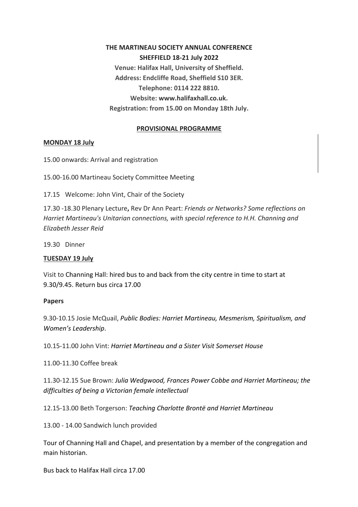**THE MARTINEAU SOCIETY ANNUAL CONFERENCE SHEFFIELD 18-21 July 2022 Venue: Halifax Hall, University of Sheffield. Address: Endcliffe Road, Sheffield S10 3ER. Telephone: 0114 222 8810. Website: www.halifaxhall.co.uk. Registration: from 15.00 on Monday 18th July.**

# **PROVISIONAL PROGRAMME**

### **MONDAY 18 July**

15.00 onwards: Arrival and registration

15.00-16.00 Martineau Society Committee Meeting

17.15 Welcome: John Vint, Chair of the Society

17.30 -18.30 Plenary Lecture**,** Rev Dr Ann Peart: *Friends or Networks? Some reflections on Harriet Martineau's Unitarian connections, with special reference to H.H. Channing and Elizabeth Jesser Reid*

19.30 Dinner

### **TUESDAY 19 July**

Visit to Channing Hall: hired bus to and back from the city centre in time to start at 9.30/9.45. Return bus circa 17.00

### **Papers**

9.30-10.15 Josie McQuail, *Public Bodies: Harriet Martineau, Mesmerism, Spiritualism, and Women's Leadership*.

10.15-11.00 John Vint: *Harriet Martineau and a Sister Visit Somerset House*

11.00-11.30 Coffee break

11.30-12.15 Sue Brown: *Julia Wedgwood, Frances Power Cobbe and Harriet Martineau; the difficulties of being a Victorian female intellectual*

12.15-13.00 Beth Torgerson: *Teaching Charlotte Brontë and Harriet Martineau*

13.00 - 14.00 Sandwich lunch provided

Tour of Channing Hall and Chapel, and presentation by a member of the congregation and main historian.

Bus back to Halifax Hall circa 17.00